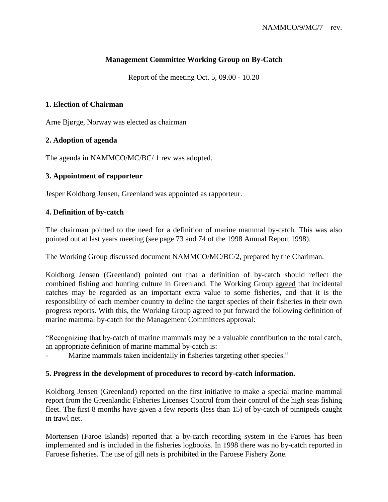# **Management Committee Working Group on By-Catch**

Report of the meeting Oct. 5, 09.00 - 10.20

## **1. Election of Chairman**

Arne Bjørge, Norway was elected as chairman

## **2. Adoption of agenda**

The agenda in NAMMCO/MC/BC/ 1 rev was adopted.

## **3. Appointment of rapporteur**

Jesper Koldborg Jensen, Greenland was appointed as rapporteur.

## **4. Definition of by-catch**

The chairman pointed to the need for a definition of marine mammal by-catch. This was also pointed out at last years meeting (see page 73 and 74 of the 1998 Annual Report 1998).

The Working Group discussed document NAMMCO/MC/BC/2, prepared by the Chariman.

Koldborg Jensen (Greenland) pointed out that a definition of by-catch should reflect the combined fishing and hunting culture in Greenland. The Working Group agreed that incidental catches may be regarded as an important extra value to some fisheries, and that it is the responsibility of each member country to define the target species of their fisheries in their own progress reports. With this, the Working Group agreed to put forward the following definition of marine mammal by-catch for the Management Committees approval:

"Recognizing that by-catch of marine mammals may be a valuable contribution to the total catch, an appropriate definition of marine mammal by-catch is:

Marine mammals taken incidentally in fisheries targeting other species."

### **5. Progress in the development of procedures to record by-catch information.**

Koldborg Jensen (Greenland) reported on the first initiative to make a special marine mammal report from the Greenlandic Fisheries Licenses Control from their control of the high seas fishing fleet. The first 8 months have given a few reports (less than 15) of by-catch of pinnipeds caught in trawl net.

Mortensen (Faroe Islands) reported that a by-catch recording system in the Faroes has been implemented and is included in the fisheries logbooks. In 1998 there was no by-catch reported in Faroese fisheries. The use of gill nets is prohibited in the Faroese Fishery Zone.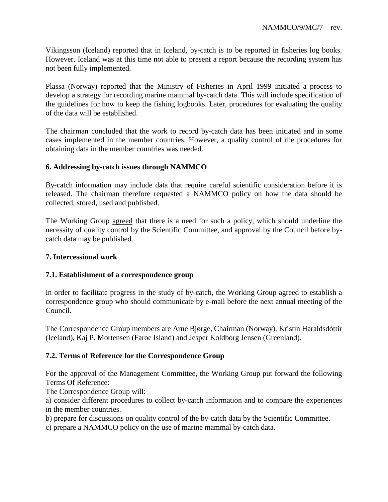Vikingsson (Iceland) reported that in Iceland, by-catch is to be reported in fisheries log books. However, Iceland was at this time not able to present a report because the recording system has not been fully implemented.

Plassa (Norway) reported that the Ministry of Fisheries in April 1999 initiated a process to develop a strategy for recording marine mammal by-catch data. This will include specification of the guidelines for how to keep the fishing logbooks. Later, procedures for evaluating the quality of the data will be established.

The chairman concluded that the work to record by-catch data has been initiated and in some cases implemented in the member countries. However, a quality control of the procedures for obtaining data in the member countries was needed.

## **6. Addressing by-catch issues through NAMMCO**

By-catch information may include data that require careful scientific consideration before it is released. The chairman therefore requested a NAMMCO policy on how the data should be collected, stored, used and published.

The Working Group agreed that there is a need for such a policy, which should underline the necessity of quality control by the Scientific Committee, and approval by the Council before bycatch data may be published.

### **7. Intercessional work**

### **7.1. Establishment of a correspondence group**

In order to facilitate progress in the study of by-catch, the Working Group agreed to establish a correspondence group who should communicate by e-mail before the next annual meeting of the Council.

The Correspondence Group members are Arne Bjørge, Chairman (Norway), Kristín Haraldsdóttir (Iceland), Kaj P. Mortensen (Faroe Island) and Jesper Koldborg Jensen (Greenland).

### **7.2. Terms of Reference for the Correspondence Group**

For the approval of the Management Committee, the Working Group put forward the following Terms Of Reference:

The Correspondence Group will:

a) consider different procedures to collect by-catch information and to compare the experiences in the member countries.

b) prepare for discussions on quality control of the by-catch data by the Scientific Committee.

c) prepare a NAMMCO policy on the use of marine mammal by-catch data.